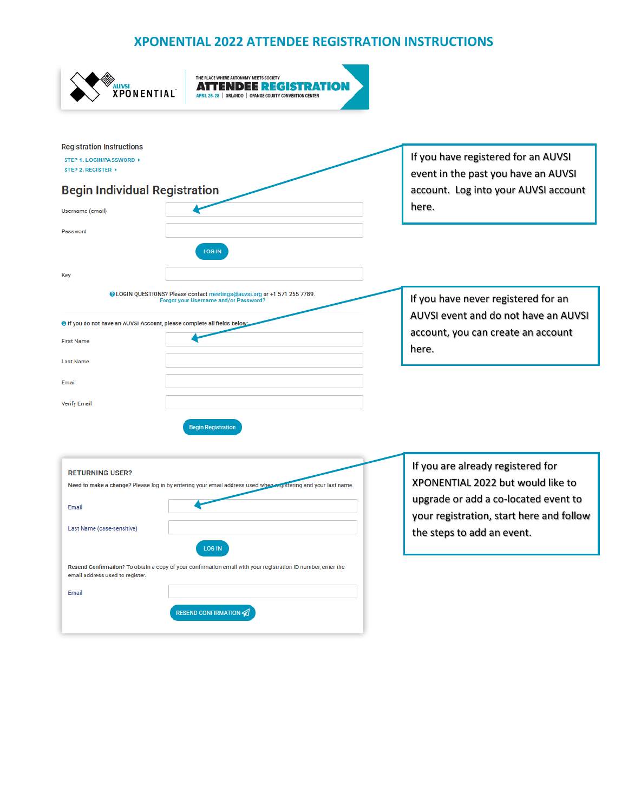## **XPONENTIAL 2022 ATTENDEE REGISTRATION INSTRUCTIONS**

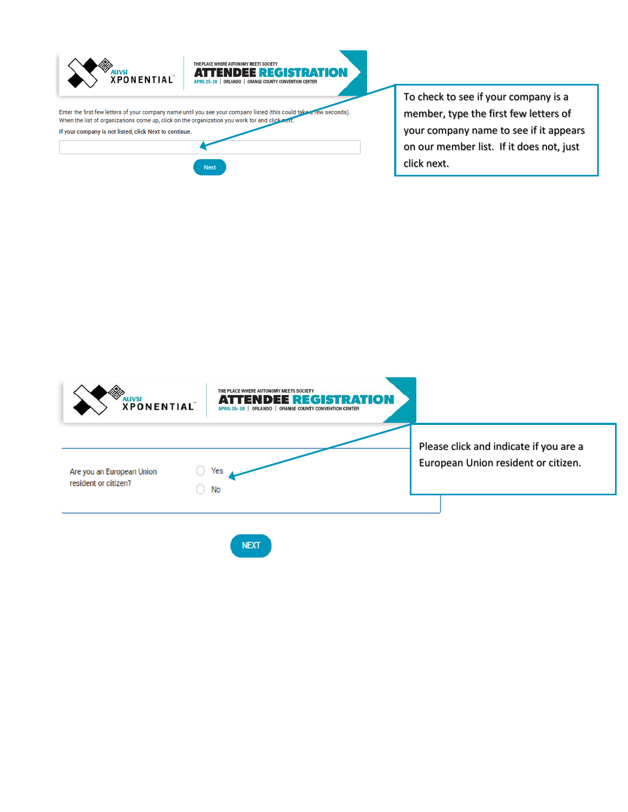

To check to see if your company is a member, type the first few letters of your company name to see if it appears on our member list. If it does not, just click next.

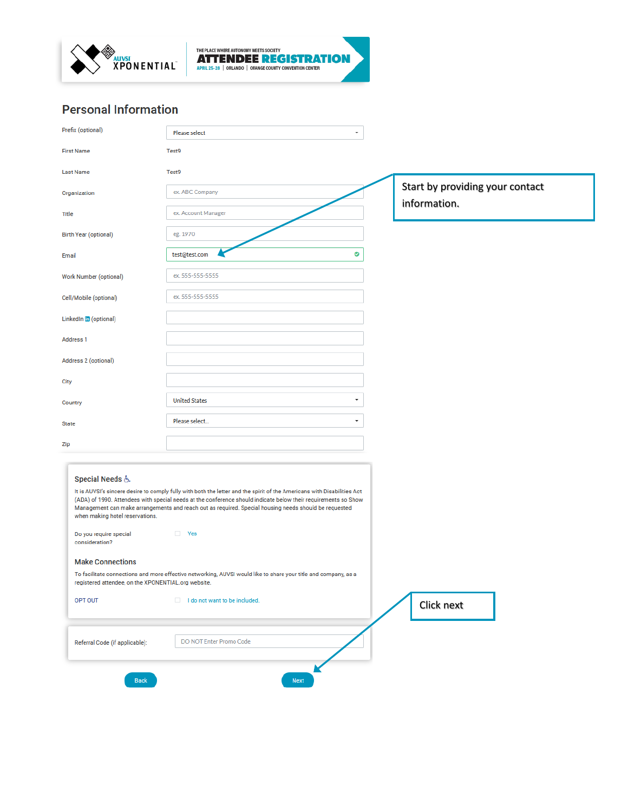



## **Personal Information**

| Prefix (optional)                                                              | Please select<br>۰                                                                                                                                                                                                                                                                                                                                 |                                 |
|--------------------------------------------------------------------------------|----------------------------------------------------------------------------------------------------------------------------------------------------------------------------------------------------------------------------------------------------------------------------------------------------------------------------------------------------|---------------------------------|
| <b>First Name</b>                                                              | Test9                                                                                                                                                                                                                                                                                                                                              |                                 |
| <b>Last Name</b>                                                               | Test9                                                                                                                                                                                                                                                                                                                                              |                                 |
| Organization                                                                   | ex. ABC Company                                                                                                                                                                                                                                                                                                                                    | Start by providing your contact |
| Title                                                                          | ex. Account Manager                                                                                                                                                                                                                                                                                                                                | information.                    |
| <b>Birth Year (optional)</b>                                                   | eg. 1970                                                                                                                                                                                                                                                                                                                                           |                                 |
| Email                                                                          | ◎<br>test@test.com                                                                                                                                                                                                                                                                                                                                 |                                 |
| Work Number (optional)                                                         | ex. 555-555-5555                                                                                                                                                                                                                                                                                                                                   |                                 |
| Cell/Mobile (optional)                                                         | ex. 555-555-5555                                                                                                                                                                                                                                                                                                                                   |                                 |
| LinkedIn in (optional)                                                         |                                                                                                                                                                                                                                                                                                                                                    |                                 |
| Address <sub>1</sub>                                                           |                                                                                                                                                                                                                                                                                                                                                    |                                 |
| Address 2 (optional)                                                           |                                                                                                                                                                                                                                                                                                                                                    |                                 |
| City                                                                           |                                                                                                                                                                                                                                                                                                                                                    |                                 |
| Country                                                                        | <b>United States</b>                                                                                                                                                                                                                                                                                                                               |                                 |
| <b>State</b>                                                                   | Please select                                                                                                                                                                                                                                                                                                                                      |                                 |
| Zip                                                                            |                                                                                                                                                                                                                                                                                                                                                    |                                 |
| Special Needs &<br>when making hotel reservations.                             | It is AUVSI's sincere desire to comply fully with both the letter and the spirit of the Americans with Disabilities Act<br>(ADA) of 1990. Attendees with special needs at the conference should indicate below their requirements so Show<br>Management can make arrangements and reach out as required. Special housing needs should be requested |                                 |
| Do you require special<br>consideration?                                       | <b>Yes</b>                                                                                                                                                                                                                                                                                                                                         |                                 |
| <b>Make Connections</b><br>registered attendee, on the XPONENTIAL.org website. | To facilitate connections and more effective networking, AUVSI would like to share your title and company, as a                                                                                                                                                                                                                                    |                                 |
| OPT OUT                                                                        | I do not want to be included.                                                                                                                                                                                                                                                                                                                      | Click next                      |
|                                                                                |                                                                                                                                                                                                                                                                                                                                                    |                                 |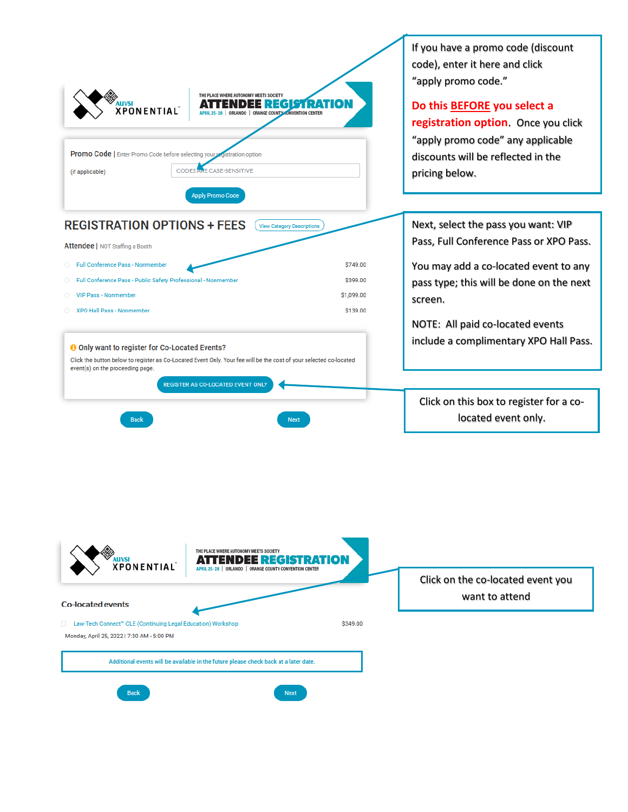| THE PLACE WHERE AUTONOMY MEETS SOCIETY<br><b>REGISTRATION</b><br><b>WVSI</b><br><b><i>XPONENTIAL</i></b><br>ORLANDO   ORANGE COUNTY CONVENTION CENTER<br><b>Promo Code  </b> Enter Promo Code before selecting your<br>gistration option<br><b>RE CASE-SENSITIVE</b><br><b>CODES</b> AT<br>(if applicable)<br><b>Apply Promo Code</b>                                                                                                                                                                                                                                                              | If you have a promo code (discount<br>code), enter it here and click<br>"apply promo code."<br>Do this BEFORE you select a<br>registration option. Once you click<br>"apply promo code" any applicable<br>discounts will be reflected in the<br>pricing below. |
|----------------------------------------------------------------------------------------------------------------------------------------------------------------------------------------------------------------------------------------------------------------------------------------------------------------------------------------------------------------------------------------------------------------------------------------------------------------------------------------------------------------------------------------------------------------------------------------------------|----------------------------------------------------------------------------------------------------------------------------------------------------------------------------------------------------------------------------------------------------------------|
| <b>REGISTRATION OPTIONS + FEES</b><br><b>View Category Descriptions</b><br><b>Attendee</b>   NOT Staffing a Booth<br>Full Conference Pass - Nonmember<br>\$749.00<br>О.<br>Full Conference Pass - Public Safety Professional - Nonmember<br>\$399.00<br><b>VIP Pass - Nonmember</b><br>\$1,099.00<br>XPO Hall Pass - Nonmember<br>\$139.00<br>O Only want to register for Co-Located Events?<br>Click the button below to register as Co-Located Event Only. Your fee will be the cost of your selected co-located<br>event(s) on the proceeding page.<br><b>REGISTER AS CO-LOCATED EVENT ONLY</b> | Next, select the pass you want: VIP<br>Pass, Full Conference Pass or XPO Pass.<br>You may add a co-located event to any<br>pass type; this will be done on the next<br>screen.<br>NOTE: All paid co-located events<br>include a complimentary XPO Hall Pass.   |
| <b>Back</b><br><b>Next</b><br>THE PLACE WHERE AUTONOMY MEETS SOCIETY                                                                                                                                                                                                                                                                                                                                                                                                                                                                                                                               | Click on this box to register for a co-<br>located event only.                                                                                                                                                                                                 |
| <b>LUVSI</b><br>DEER<br>ектичног<br><b>XPONENTIAL</b><br>APRIL 25-28   ORLANDO   ORANGE COUNTY CONVENTION CENTER<br><b>Co-located events</b><br>Law-Tech Connect <sup>*</sup> CLE (Continuing Legal Education) Workshop<br>\$349.00<br>Monday, April 25, 2022   7:30 AM - 5:00 PM<br>Additional events will be available in the future please check back at a later date.                                                                                                                                                                                                                          | Click on the co-located event you<br>want to attend                                                                                                                                                                                                            |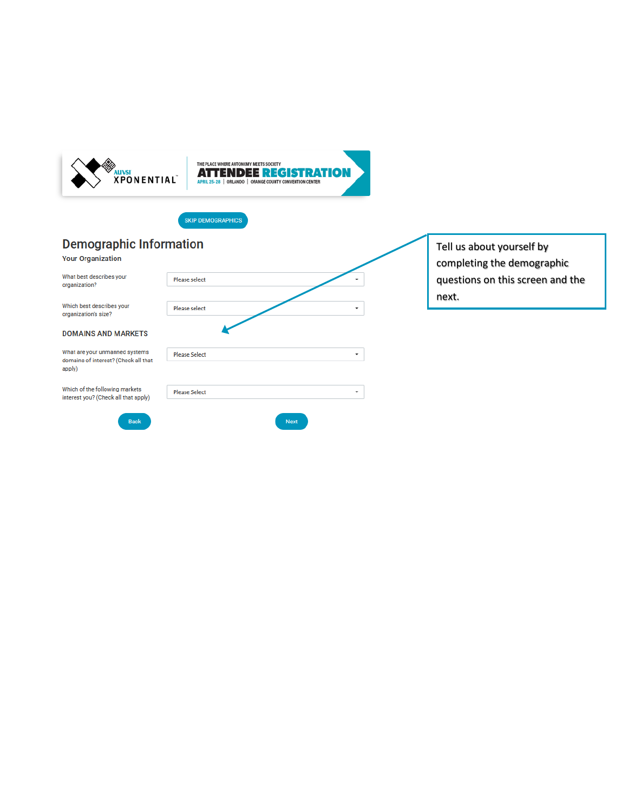





## **Demographic Information**

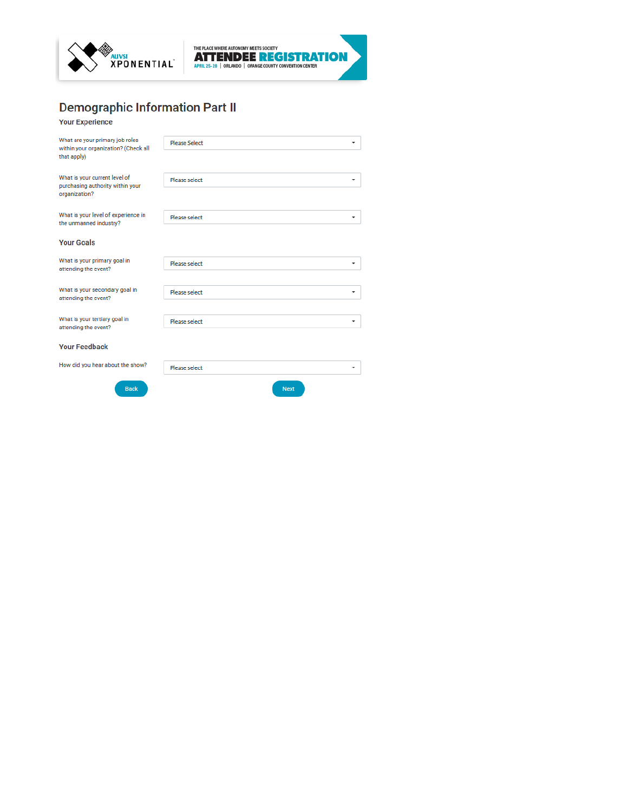



| What are your primary job roles<br>within your organization? (Check all<br>that apply) | <b>Please Select</b><br>٠ |  |  |  |
|----------------------------------------------------------------------------------------|---------------------------|--|--|--|
| What is your current level of<br>purchasing authority within your<br>organization?     | Please select<br>۰        |  |  |  |
| What is your level of experience in<br>the unmanned industry?                          | Please select<br>٠        |  |  |  |
| <b>Your Goals</b>                                                                      |                           |  |  |  |
| What is your primary goal in<br>attending the event?                                   | Please select<br>۰        |  |  |  |
| What is your secondary goal in<br>attending the event?                                 | Please select<br>۰        |  |  |  |
| What is your tertiary goal in<br>attending the event?                                  | Please select<br>۰        |  |  |  |
| <b>Your Feedback</b>                                                                   |                           |  |  |  |
| How did you hear about the show?                                                       | Please select             |  |  |  |
| <b>Back</b>                                                                            | <b>Next</b>               |  |  |  |